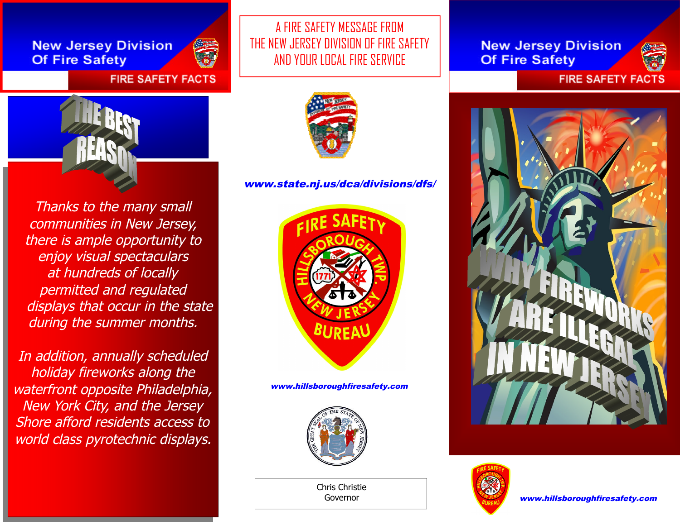**New Jersey Division Of Fire Safety** 



### **FIRE SAFETY FACTS**



Thanks to the many small communities in New Jersey, there is ample opportunity to enjoy visual spectaculars at hundreds of locally permitted and regulated displays that occur in the state during the summer months.

In addition, annually scheduled holiday fireworks along the waterfront opposite Philadelphia, New York City, and the Jersey Shore afford residents access to world class pyrotechnic displays.

A FIRE SAFETY MESSAGE FROM THE NEW JERSEY DIVISION OF FIRE SAFETY AND YOUR LOCAL FIRE SERVICE



#### www.state.nj.us/dca/divisions/dfs/



www.hillsboroughfiresafety.com



Chris Christie Governor

**New Jersey Division Of Fire Safety** 



**FIRE SAFETY FACTS**